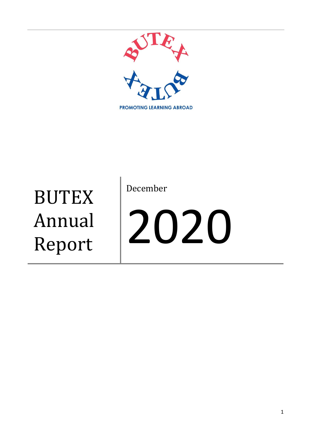

**BUTEX** Annual Report

December

# 2020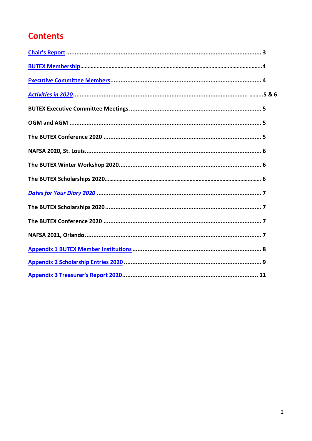# **Contents**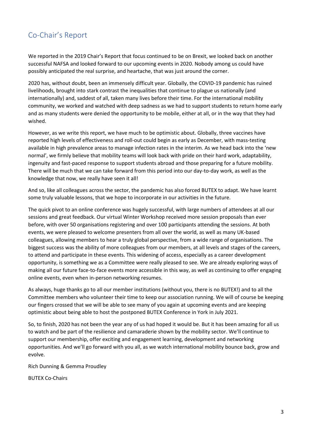# <span id="page-2-0"></span>Co-Chair's Report

We reported in the 2019 Chair's Report that focus continued to be on Brexit, we looked back on another successful NAFSA and looked forward to our upcoming events in 2020. Nobody among us could have possibly anticipated the real surprise, and heartache, that was just around the corner.

2020 has, without doubt, been an immensely difficult year. Globally, the COVID-19 pandemic has ruined livelihoods, brought into stark contrast the inequalities that continue to plague us nationally (and internationally) and, saddest of all, taken many lives before their time. For the international mobility community, we worked and watched with deep sadness as we had to support students to return home early and as many students were denied the opportunity to be mobile, either at all, or in the way that they had wished.

However, as we write this report, we have much to be optimistic about. Globally, three vaccines have reported high levels of effectiveness and roll-out could begin as early as December, with mass-testing available in high prevalence areas to manage infection rates in the interim. As we head back into the 'new normal', we firmly believe that mobility teams will look back with pride on their hard work, adaptability, ingenuity and fast-paced response to support students abroad and those preparing for a future mobility. There will be much that we can take forward from this period into our day-to-day work, as well as the knowledge that now, we really have seen it all!

And so, like all colleagues across the sector, the pandemic has also forced BUTEX to adapt. We have learnt some truly valuable lessons, that we hope to incorporate in our activities in the future.

The quick pivot to an online conference was hugely successful, with large numbers of attendees at all our sessions and great feedback. Our virtual Winter Workshop received more session proposals than ever before, with over 50 organisations registering and over 100 participants attending the sessions. At both events, we were pleased to welcome presenters from all over the world, as well as many UK-based colleagues, allowing members to hear a truly global perspective, from a wide range of organisations. The biggest success was the ability of more colleagues from our members, at all levels and stages of the careers, to attend and participate in these events. This widening of access, especially as a career development opportunity, is something we as a Committee were really pleased to see. We are already exploring ways of making all our future face-to-face events more accessible in this way, as well as continuing to offer engaging online events, even when in-person networking resumes.

As always, huge thanks go to all our member institutions (without you, there is no BUTEX!) and to all the Committee members who volunteer their time to keep our association running. We will of course be keeping our fingers crossed that we will be able to see many of you again at upcoming events and are keeping optimistic about being able to host the postponed BUTEX Conference in York in July 2021.

So, to finish, 2020 has not been the year any of us had hoped it would be. But it has been amazing for all us to watch and be part of the resilience and camaraderie shown by the mobility sector. We'll continue to support our membership, offer exciting and engagement learning, development and networking opportunities. And we'll go forward with you all, as we watch international mobility bounce back, grow and evolve.

Rich Dunning & Gemma Proudley

BUTEX Co-Chairs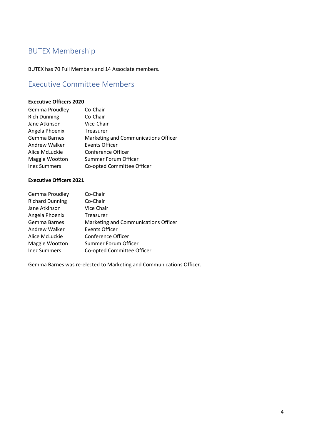# <span id="page-3-0"></span>BUTEX Membership

<span id="page-3-1"></span>BUTEX has 70 Full Members and 14 Associate members.

## Executive Committee Members

#### **Executive Officers 2020**

| Co-Chair                             |
|--------------------------------------|
| Co-Chair                             |
| Vice-Chair                           |
| Treasurer                            |
| Marketing and Communications Officer |
| <b>Events Officer</b>                |
| Conference Officer                   |
| Summer Forum Officer                 |
| Co-opted Committee Officer           |
|                                      |

#### **Executive Officers 2021**

| Gemma Proudley         | Co-Chair                             |
|------------------------|--------------------------------------|
| <b>Richard Dunning</b> | Co-Chair                             |
| Jane Atkinson          | Vice Chair                           |
| Angela Phoenix         | Treasurer                            |
| Gemma Barnes           | Marketing and Communications Officer |
| Andrew Walker          | Events Officer                       |
| Alice McLuckie         | Conference Officer                   |
| Maggie Wootton         | Summer Forum Officer                 |
| <b>Inez Summers</b>    | Co-opted Committee Officer           |

Gemma Barnes was re-elected to Marketing and Communications Officer.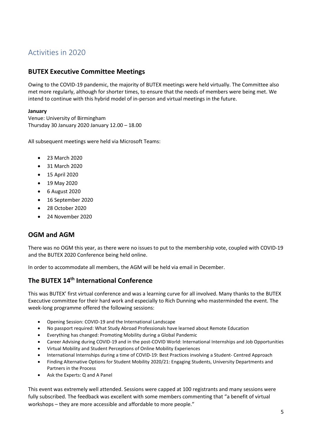## <span id="page-4-0"></span>Activities in 2020

#### **BUTEX Executive Committee Meetings**

Owing to the COVID-19 pandemic, the majority of BUTEX meetings were held virtually. The Committee also met more regularly, although for shorter times, to ensure that the needs of members were being met. We intend to continue with this hybrid model of in-person and virtual meetings in the future.

#### **January**

Venue: University of Birmingham Thursday 30 January 2020 January 12.00 – 18.00

All subsequent meetings were held via Microsoft Teams:

- 23 March 2020
- 31 March 2020
- 15 April 2020
- 19 May 2020
- 6 August 2020
- 16 September 2020
- 28 October 2020
- 24 November 2020

#### **OGM and AGM**

There was no OGM this year, as there were no issues to put to the membership vote, coupled with COVID-19 and the BUTEX 2020 Conference being held online.

In order to accommodate all members, the AGM will be held via email in December.

## **The BUTEX 14th International Conference**

This was BUTEX' first virtual conference and was a learning curve for all involved. Many thanks to the BUTEX Executive committee for their hard work and especially to Rich Dunning who masterminded the event. The week-long programme offered the following sessions:

- Opening Session: COVID-19 and the International Landscape
- No passport required: What Study Abroad Professionals have learned about Remote Education
- Everything has changed: Promoting Mobility during a Global Pandemic
- Career Advising during COVID-19 and in the post-COVID World: International Internships and Job Opportunities
- Virtual Mobility and Student Perceptions of Online Mobility Experiences
- International Internships during a time of COVID-19: Best Practices involving a Student- Centred Approach
- Finding Alternative Options for Student Mobility 2020/21: Engaging Students, University Departments and Partners in the Process
- Ask the Experts: Q and A Panel

This event was extremely well attended. Sessions were capped at 100 registrants and many sessions were fully subscribed. The feedback was excellent with some members commenting that "a benefit of virtual workshops – they are more accessible and affordable to more people."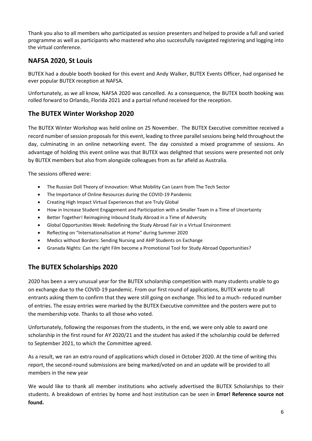Thank you also to all members who participated as session presenters and helped to provide a full and varied programme as well as participants who mastered who also successfully navigated registering and logging into the virtual conference.

#### **NAFSA 2020, St Louis**

BUTEX had a double booth booked for this event and Andy Walker, BUTEX Events Officer, had organised he ever popular BUTEX reception at NAFSA.

Unfortunately, as we all know, NAFSA 2020 was cancelled. As a consequence, the BUTEX booth booking was rolled forward to Orlando, Florida 2021 and a partial refund received for the reception.

#### **The BUTEX Winter Workshop 2020**

The BUTEX Winter Workshop was held online on 25 November. The BUTEX Executive committee received a record number of session proposals for this event, leading to three parallel sessions being held throughout the day, culminating in an online networking event. The day consisted a mixed programme of sessions. An advantage of holding this event online was that BUTEX was delighted that sessions were presented not only by BUTEX members but also from alongside colleagues from as far afield as Australia.

The sessions offered were:

- The Russian Doll Theory of Innovation: What Mobility Can Learn from The Tech Sector
- The Importance of Online Resources during the COVID-19 Pandemic
- Creating High Impact Virtual Experiences that are Truly Global
- How in Increase Student Engagement and Participation with a Smaller Team in a Time of Uncertainty
- Better Together! Reimagining Inbound Study Abroad in a Time of Adversity
- Global Opportunities Week: Redefining the Study Abroad Fair in a Virtual Environment
- Reflecting on "Internationalisation at Home" during Summer 2020
- Medics without Borders: Sending Nursing and AHP Students on Exchange
- Granada Nights: Can the right Film become a Promotional Tool for Study Abroad Opportunities?

## **The BUTEX Scholarships 2020**

2020 has been a very unusual year for the BUTEX scholarship competition with many students unable to go on exchange due to the COVID-19 pandemic. From our first round of applications, BUTEX wrote to all entrants asking them to confirm that they were still going on exchange. This led to a much- reduced number of entries. The essay entries were marked by the BUTEX Executive committee and the posters were put to the membership vote. Thanks to all those who voted.

Unfortunately, following the responses from the students, in the end, we were only able to award one scholarship in the first round for AY 2020/21 and the student has asked if the scholarship could be deferred to September 2021, to which the Committee agreed.

As a result, we ran an extra round of applications which closed in October 2020. At the time of writing this report, the second-round submissions are being marked/voted on and an update will be provided to all members in the new year

We would like to thank all member institutions who actively advertised the BUTEX Scholarships to their students. A breakdown of entries by home and host institution can be seen in **Error! Reference source not found.**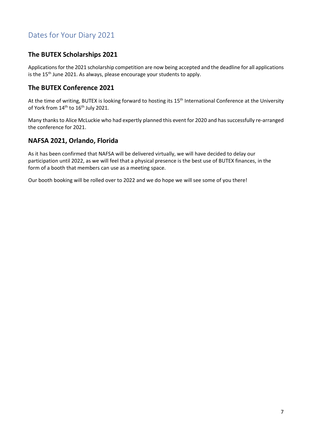# <span id="page-6-0"></span>Dates for Your Diary 2021

#### **The BUTEX Scholarships 2021**

Applications for the 2021 scholarship competition are now being accepted and the deadline for all applications is the 15<sup>th</sup> June 2021. As always, please encourage your students to apply.

#### **The BUTEX Conference 2021**

At the time of writing, BUTEX is looking forward to hosting its 15<sup>th</sup> International Conference at the University of York from 14<sup>th</sup> to 16<sup>th</sup> July 2021.

Many thanks to Alice McLuckie who had expertly planned this event for 2020 and has successfully re-arranged the conference for 2021.

#### **NAFSA 2021, Orlando, Florida**

As it has been confirmed that NAFSA will be delivered virtually, we will have decided to delay our participation until 2022, as we will feel that a physical presence is the best use of BUTEX finances, in the form of a booth that members can use as a meeting space.

Our booth booking will be rolled over to 2022 and we do hope we will see some of you there!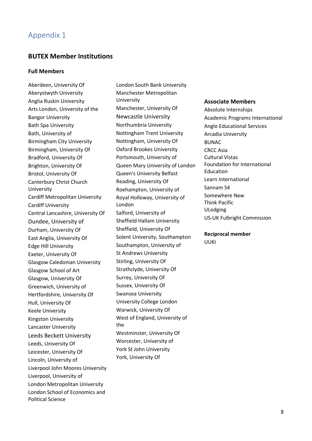## <span id="page-7-0"></span>Appendix 1

#### **BUTEX Member Institutions**

#### **Full Members**

Aberdeen, University Of Aberystwyth University Anglia Ruskin University Arts London, University of the Bangor University Bath Spa University Bath, University of Birmingham City University Birmingham, University Of Bradford, University Of Brighton, University Of Bristol, University Of Canterbury Christ Church University Cardiff Metropolitan University Cardiff University Central Lancashire, University Of Dundee, University of Durham, University Of East Anglia, University Of Edge Hill University Exeter, University Of Glasgow Caledonian University Glasgow School of Art Glasgow, University Of Greenwich, University of Hertfordshire, University Of Hull, University Of Keele University Kingston University Lancaster University Leeds Beckett University Leeds, University Of Leicester, University Of Lincoln, University of Liverpool John Moores University Liverpool, University of London Metropolitan University London School of Economics and Political Science

London South Bank University Manchester Metropolitan University Manchester, University Of Newcastle University Northumbria University Nottingham Trent University Nottingham, University Of Oxford Brookes University Portsmouth, University of Queen Mary University of London Queen's University Belfast Reading, University Of Roehampton, University of Royal Holloway, University of London Salford, University of Sheffield Hallam University Sheffield, University Of Solent University, Southampton Southampton, University of St Andrews University Stirling, University Of Strathclyde, University Of Surrey, University Of Sussex, University Of Swansea University University College London Warwick, University Of West of England, University of the Westminster, University Of Worcester, University of York St John University York, University Of

#### **Associate Members**

Absolute Internships Academic Programs International Anglo Educational Services Arcadia University BUNAC CRCC Asia Cultural Vistas Foundation for International Education Learn International Sannam S4 Somewhere New Think Pacific ULodging US-UK Fulbright Commission

**Reciprocal member** UUKi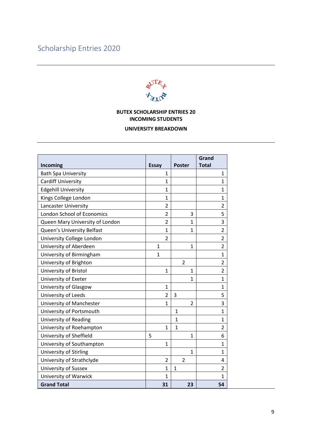# <span id="page-8-0"></span>Scholarship Entries 2020



#### **BUTEX SCHOLARSHIP ENTRIES 20 INCOMING STUDENTS**

#### **UNIVERSITY BREAKDOWN**

|                                 |                |                | Grand          |
|---------------------------------|----------------|----------------|----------------|
| Incoming                        | <b>Essay</b>   | <b>Poster</b>  | <b>Total</b>   |
| <b>Bath Spa University</b>      | $\mathbf{1}$   |                | 1              |
| <b>Cardiff University</b>       | $\mathbf{1}$   |                | 1              |
| <b>Edgehill University</b>      | $\mathbf{1}$   |                | $\mathbf 1$    |
| Kings College London            | $\mathbf{1}$   |                | $\mathbf{1}$   |
| Lancaster University            | $\overline{2}$ |                | $\overline{2}$ |
| London School of Economics      | $\overline{2}$ | 3              | 5              |
| Queen Mary University of London | $\overline{2}$ | 1              | 3              |
| Queen's University Belfast      | $\mathbf{1}$   | $\mathbf{1}$   | $\overline{2}$ |
| University College London       | $\overline{2}$ |                | $\overline{2}$ |
| University of Aberdeen          | $\mathbf{1}$   | $\mathbf{1}$   | $\overline{2}$ |
| University of Birmingham        | $\mathbf{1}$   |                | $\mathbf{1}$   |
| University of Brighton          |                | $\overline{2}$ | $\overline{2}$ |
| University of Bristol           | $\mathbf{1}$   | $\mathbf{1}$   | $\overline{2}$ |
| University of Exeter            |                | $\mathbf{1}$   | $\mathbf 1$    |
| University of Glasgow           | $\mathbf{1}$   |                | $\mathbf{1}$   |
| University of Leeds             | $\overline{2}$ | 3              | 5              |
| University of Manchester        | $\mathbf{1}$   | $\overline{2}$ | 3              |
| University of Portsmouth        |                | $\mathbf{1}$   | $\mathbf{1}$   |
| <b>University of Reading</b>    |                | 1              | $\mathbf 1$    |
| University of Roehampton        | $\mathbf{1}$   | $\mathbf{1}$   | $\overline{2}$ |
| University of Sheffield         | 5              | $\mathbf{1}$   | 6              |
| University of Southampton       | $\mathbf{1}$   |                | 1              |
| University of Stirling          |                | $\mathbf{1}$   | $\mathbf 1$    |
| University of Strathclyde       | $\overline{2}$ | $\overline{2}$ | 4              |
| University of Sussex            | $\mathbf{1}$   | $\mathbf{1}$   | $\overline{2}$ |
| University of Warwick           | $\mathbf{1}$   |                | $\mathbf{1}$   |
| <b>Grand Total</b>              | 31             | 23             | 54             |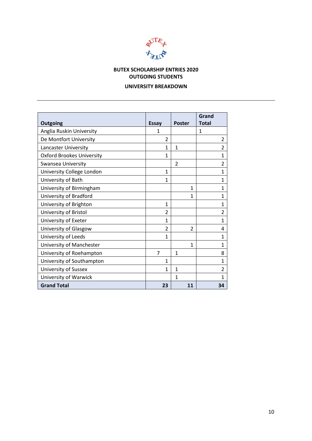

## **BUTEX SCHOLARSHIP ENTRIES 2020 OUTGOING STUDENTS**

#### **UNIVERSITY BREAKDOWN**

|                                  |                          |                | Grand<br><b>Total</b> |
|----------------------------------|--------------------------|----------------|-----------------------|
| <b>Outgoing</b>                  | <b>Essay</b>             | <b>Poster</b>  |                       |
| Anglia Ruskin University         | 1                        |                | 1                     |
| De Montfort University           | $\overline{2}$           |                | 2                     |
| Lancaster University             | 1                        | $\mathbf{1}$   | $\overline{2}$        |
| <b>Oxford Brookes University</b> | 1                        |                | $\mathbf{1}$          |
| Swansea University               |                          | $\overline{2}$ | $\overline{2}$        |
| University College London        | 1                        |                | 1                     |
| University of Bath               | $\mathbf{1}$             |                | 1                     |
| University of Birmingham         |                          | $\mathbf{1}$   | 1                     |
| University of Bradford           |                          | 1              | 1                     |
| University of Brighton           | $\mathbf{1}$             |                | 1                     |
| University of Bristol            | 2                        |                | $\overline{2}$        |
| University of Exeter             | $\mathbf{1}$             |                | 1                     |
| University of Glasgow            | $\overline{\phantom{a}}$ | 2              | 4                     |
| University of Leeds              | $\mathbf{1}$             |                | $\mathbf{1}$          |
| University of Manchester         |                          | 1              | $\mathbf{1}$          |
| University of Roehampton         | 7                        | $\mathbf{1}$   | 8                     |
| University of Southampton        | 1                        |                | 1                     |
| University of Sussex             | 1                        | 1              | 2                     |
| University of Warwick            |                          | 1              | 1                     |
| <b>Grand Total</b>               | 23                       | 11             | 34                    |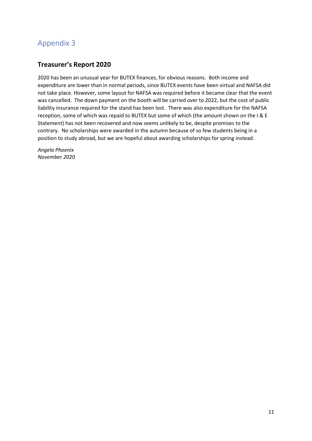## <span id="page-10-0"></span>Appendix 3

## **Treasurer's Report 2020**

2020 has been an unusual year for BUTEX finances, for obvious reasons. Both income and expenditure are lower than in normal periods, since BUTEX events have been virtual and NAFSA did not take place. However, some layout for NAFSA was required before it became clear that the event was cancelled. The down payment on the booth will be carried over to 2022, but the cost of public liability insurance required for the stand has been lost. There was also expenditure for the NAFSA reception, some of which was repaid to BUTEX but some of which (the amount shown on the I & E Statement) has not been recovered and now seems unlikely to be, despite promises to the contrary. No scholarships were awarded in the autumn because of so few students being in a position to study abroad, but we are hopeful about awarding scholarships for spring instead.

*Angela Phoenix November 2020*